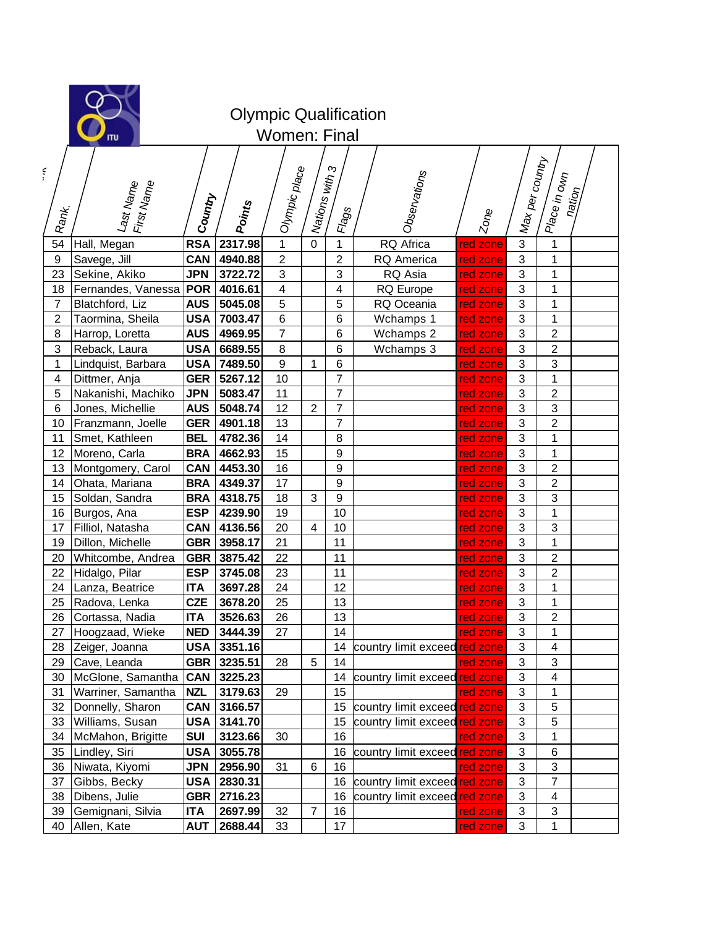|                  | <b>Olympic Qualification</b><br><b>Women: Final</b><br>ITU                                                                                                                                          |            |         |                         |                |                  |                               |          |                |                  |  |  |
|------------------|-----------------------------------------------------------------------------------------------------------------------------------------------------------------------------------------------------|------------|---------|-------------------------|----------------|------------------|-------------------------------|----------|----------------|------------------|--|--|
| Ş                | Max per country<br>က<br>Olympic place<br>Observations<br>Piace in own<br>Mations with $\varepsilon$<br>Last Name<br>I First Name<br>nation<br>Gountry<br>Points<br>Rank.<br>Flags<br>z <sub>o</sub> |            |         |                         |                |                  |                               |          |                |                  |  |  |
| 54               | Hall, Megan                                                                                                                                                                                         | <b>RSA</b> | 2317.98 | $\mathbf{1}$            | $\mathbf{0}$   | $\mathbf{1}$     | RQ Africa                     | red zone | $\overline{3}$ | 1                |  |  |
| $\boldsymbol{9}$ | Savege, Jill                                                                                                                                                                                        | <b>CAN</b> | 4940.88 | $\overline{c}$          |                | $\overline{c}$   | <b>RQ</b> America             | red zone | $\mathbf{3}$   | 1                |  |  |
| 23               | Sekine, Akiko                                                                                                                                                                                       | <b>JPN</b> | 3722.72 | $\mathbf{3}$            |                | $\mathbf{3}$     | RQ Asia                       | red zone | $\mathbf{3}$   | 1                |  |  |
| 18               | Fernandes, Vanessa                                                                                                                                                                                  | <b>POR</b> | 4016.61 | $\overline{\mathbf{4}}$ |                | 4                | RQ Europe                     | red zone | 3              | 1                |  |  |
| 7                | Blatchford, Liz                                                                                                                                                                                     | <b>AUS</b> | 5045.08 | 5                       |                | 5                | RQ Oceania                    | red zone | 3              | 1                |  |  |
| $\overline{c}$   | Taormina, Sheila                                                                                                                                                                                    | <b>USA</b> | 7003.47 | $\,6\,$                 |                | 6                | Wchamps 1                     | red zone | 3              | 1                |  |  |
| 8                | Harrop, Loretta                                                                                                                                                                                     | <b>AUS</b> | 4969.95 | $\overline{7}$          |                | 6                | Wchamps 2                     | red zone | 3              | $\overline{c}$   |  |  |
| 3                | Reback, Laura                                                                                                                                                                                       | <b>USA</b> | 6689.55 | 8                       |                | 6                | Wchamps 3                     | red zone | $\mathfrak{S}$ | $\overline{c}$   |  |  |
| 1                | Lindquist, Barbara                                                                                                                                                                                  | <b>USA</b> | 7489.50 | $\boldsymbol{9}$        | 1              | $\,6\,$          |                               | red zone | 3              | 3                |  |  |
| 4                | Dittmer, Anja                                                                                                                                                                                       | <b>GER</b> | 5267.12 | 10                      |                | $\overline{7}$   |                               | red zone | $\mathfrak{S}$ | $\mathbf{1}$     |  |  |
| 5                | Nakanishi, Machiko                                                                                                                                                                                  | <b>JPN</b> | 5083.47 | 11                      |                | $\overline{7}$   |                               | red zone | $\mathfrak{S}$ | $\boldsymbol{2}$ |  |  |
| 6                | Jones, Michellie                                                                                                                                                                                    | <b>AUS</b> | 5048.74 | 12                      | $\overline{2}$ | $\overline{7}$   |                               | red zone | $\mathfrak{S}$ | 3                |  |  |
| 10               | Franzmann, Joelle                                                                                                                                                                                   | <b>GER</b> | 4901.18 | 13                      |                | $\overline{7}$   |                               | red zone | 3              | $\overline{2}$   |  |  |
| 11               | Smet, Kathleen                                                                                                                                                                                      | <b>BEL</b> | 4782.36 | 14                      |                | 8                |                               | red zone | $\mathfrak{S}$ | 1                |  |  |
| 12               | Moreno, Carla                                                                                                                                                                                       | <b>BRA</b> | 4662.93 | 15                      |                | $\boldsymbol{9}$ |                               | red zone | 3              | 1                |  |  |
| 13               | Montgomery, Carol                                                                                                                                                                                   | <b>CAN</b> | 4453.30 | 16                      |                | $\boldsymbol{9}$ |                               | red zone | 3              | $\overline{2}$   |  |  |
| 14               | Ohata, Mariana                                                                                                                                                                                      | <b>BRA</b> | 4349.37 | 17                      |                | $\boldsymbol{9}$ |                               | red zone | 3              | $\overline{2}$   |  |  |
| 15               | Soldan, Sandra                                                                                                                                                                                      | <b>BRA</b> | 4318.75 | 18                      | 3              | $\boldsymbol{9}$ |                               | red zone | 3              | 3                |  |  |
| 16               | Burgos, Ana                                                                                                                                                                                         | <b>ESP</b> | 4239.90 | 19                      |                | 10               |                               | red zone | 3              | $\mathbf{1}$     |  |  |
| 17               | Filliol, Natasha                                                                                                                                                                                    | <b>CAN</b> | 4136.56 | 20                      | 4              | 10               |                               | red zone | 3              | 3                |  |  |
| 19               | Dillon, Michelle                                                                                                                                                                                    | <b>GBR</b> | 3958.17 | 21                      |                | 11               |                               | red zone | 3              | 1                |  |  |
| 20               | Whitcombe, Andrea                                                                                                                                                                                   | <b>GBR</b> | 3875.42 | 22                      |                | 11               |                               | red zone | 3              | $\overline{2}$   |  |  |
| 22               | Hidalgo, Pilar                                                                                                                                                                                      | <b>ESP</b> | 3745.08 | 23                      |                | 11               |                               | red zone | 3              | $\overline{2}$   |  |  |
| 24               | Lanza, Beatrice                                                                                                                                                                                     | <b>ITA</b> | 3697.28 | 24                      |                | 12               |                               | red zone | $\sqrt{3}$     | $\mathbf 1$      |  |  |
| 25               | Radova, Lenka                                                                                                                                                                                       | <b>CZE</b> | 3678.20 | 25                      |                | 13               |                               | red zone | 3              | 1                |  |  |
| 26               | Cortassa, Nadia                                                                                                                                                                                     | <b>ITA</b> | 3526.63 | 26                      |                | 13               |                               | red zone | 3              | 2                |  |  |
| 27               | Hoogzaad, Wieke                                                                                                                                                                                     | <b>NED</b> | 3444.39 | 27                      |                | 14               |                               | red zone | 3              | 1                |  |  |
| 28               | Zeiger, Joanna                                                                                                                                                                                      | USA        | 3351.16 |                         |                | 14               | country limit exceed red zone |          | 3              | $\overline{4}$   |  |  |
| 29               | Cave, Leanda                                                                                                                                                                                        | <b>GBR</b> | 3235.51 | 28                      | 5              | 14               |                               | red zone | 3              | 3                |  |  |
| 30               | McGlone, Samantha                                                                                                                                                                                   | <b>CAN</b> | 3225.23 |                         |                | 14               | country limit exceed red zone |          | $\mathsf 3$    | 4                |  |  |
| 31               | Warriner, Samantha                                                                                                                                                                                  | <b>NZL</b> | 3179.63 | 29                      |                | 15               |                               | red zone | $\mathsf 3$    | 1                |  |  |
| 32               | Donnelly, Sharon                                                                                                                                                                                    | <b>CAN</b> | 3166.57 |                         |                | 15               | country limit exceed red zone |          | 3              | 5                |  |  |
| 33               | Williams, Susan                                                                                                                                                                                     | <b>USA</b> | 3141.70 |                         |                | 15               | country limit exceed red zone |          | 3              | 5                |  |  |
| 34               | McMahon, Brigitte                                                                                                                                                                                   | <b>SUI</b> | 3123.66 | 30                      |                | 16               |                               | red zone | 3              | 1                |  |  |
| 35               | Lindley, Siri                                                                                                                                                                                       | <b>USA</b> | 3055.78 |                         |                | 16               | country limit exceed red zone |          | $\mathsf 3$    | 6                |  |  |
| 36               | Niwata, Kiyomi                                                                                                                                                                                      | JPN        | 2956.90 | 31                      | 6              | 16               |                               | red zone | $\mathsf 3$    | 3                |  |  |
| 37               | Gibbs, Becky                                                                                                                                                                                        | <b>USA</b> | 2830.31 |                         |                | 16               | country limit exceed red zone |          | 3              | $\overline{7}$   |  |  |
| 38               | Dibens, Julie                                                                                                                                                                                       | <b>GBR</b> | 2716.23 |                         |                | 16               | country limit exceed red zone |          | $\mathsf 3$    | 4                |  |  |
| 39               | Gemignani, Silvia                                                                                                                                                                                   | <b>ITA</b> | 2697.99 | 32                      | $\overline{7}$ | 16               |                               | red zone | 3              | 3                |  |  |
| 40               | Allen, Kate                                                                                                                                                                                         | <b>AUT</b> | 2688.44 | 33                      |                | 17               |                               | red zone | 3              | 1                |  |  |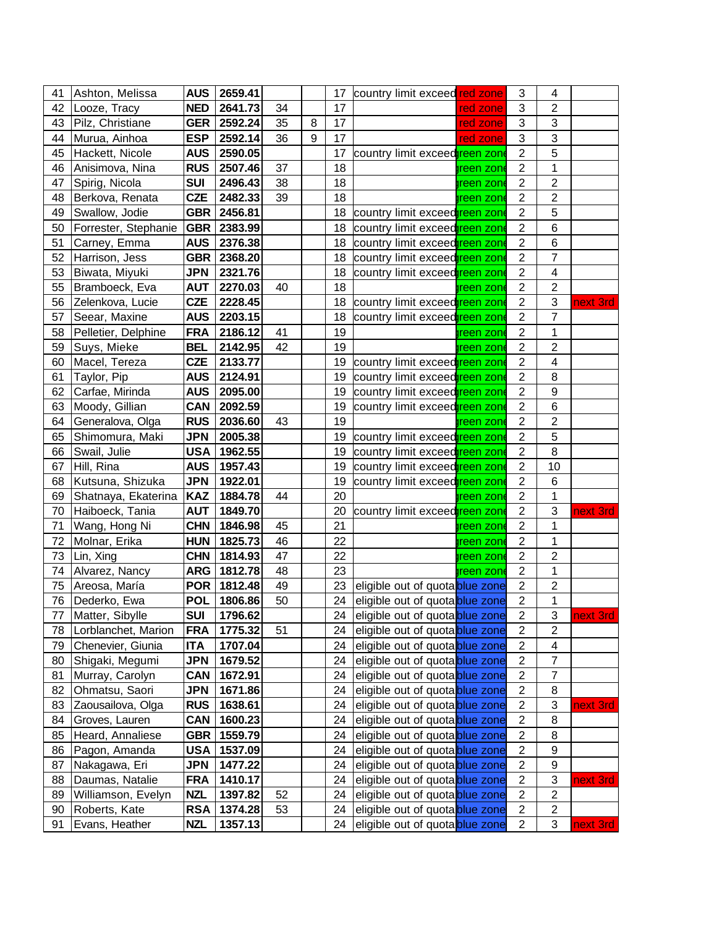| 41 | Ashton, Melissa      | AUS        | 2659.41       |    |   | 17 | country limit exceed red zone   |                   | 3                         | 4                       |          |
|----|----------------------|------------|---------------|----|---|----|---------------------------------|-------------------|---------------------------|-------------------------|----------|
| 42 | Looze, Tracy         | <b>NED</b> | 2641.73       | 34 |   | 17 |                                 | red zone          | $\ensuremath{\mathsf{3}}$ | $\overline{2}$          |          |
| 43 | Pilz, Christiane     |            | GER 2592.24   | 35 | 8 | 17 |                                 | red zone          | $\sqrt{3}$                | 3                       |          |
| 44 | Murua, Ainhoa        | <b>ESP</b> | 2592.14       | 36 | 9 | 17 |                                 | red zone          | 3                         | 3                       |          |
| 45 | Hackett, Nicole      | <b>AUS</b> | 2590.05       |    |   | 17 | country limit exceedreen zone   |                   | $\overline{2}$            | 5                       |          |
| 46 | Anisimova, Nina      | <b>RUS</b> | 2507.46       | 37 |   | 18 |                                 | )reen zon         | $\overline{2}$            | 1                       |          |
| 47 | Spirig, Nicola       | <b>SUI</b> | 2496.43       | 38 |   | 18 |                                 | preen zone        | $\overline{2}$            | $\overline{c}$          |          |
| 48 | Berkova, Renata      | <b>CZE</b> | 2482.33       | 39 |   | 18 |                                 | treen zone        | $\sqrt{2}$                | $\overline{c}$          |          |
| 49 | Swallow, Jodie       | <b>GBR</b> | 2456.81       |    |   | 18 | country limit exceedgreen zone  |                   | $\boldsymbol{2}$          | 5                       |          |
| 50 | Forrester, Stephanie | <b>GBR</b> | 2383.99       |    |   | 18 | country limit exceedgreen zone  |                   | $\sqrt{2}$                | $\,6$                   |          |
| 51 | Carney, Emma         | AUS        | 2376.38       |    |   | 18 | country limit exceedgreen zone  |                   | $\boldsymbol{2}$          | 6                       |          |
| 52 | Harrison, Jess       | <b>GBR</b> | 2368.20       |    |   | 18 | country limit exceedgreen zone  |                   | $\boldsymbol{2}$          | $\overline{7}$          |          |
| 53 | Biwata, Miyuki       | <b>JPN</b> | 2321.76       |    |   | 18 | country limit exceedgreen zone  |                   | $\overline{2}$            | $\overline{\mathbf{4}}$ |          |
| 55 | Bramboeck, Eva       | <b>AUT</b> | 2270.03       | 40 |   | 18 |                                 | <b>green zon</b>  | $\overline{2}$            | $\overline{2}$          |          |
| 56 | Zelenkova, Lucie     | <b>CZE</b> | 2228.45       |    |   | 18 | country limit exceedgreen zone  |                   | $\sqrt{2}$                | 3                       | next 3rd |
| 57 | Seear, Maxine        | AUS        | 2203.15       |    |   | 18 | country limit exceedtreen zone  |                   | $\boldsymbol{2}$          | $\overline{7}$          |          |
| 58 | Pelletier, Delphine  | <b>FRA</b> | 2186.12       | 41 |   | 19 |                                 | <b>green zone</b> | $\mathbf{2}$              | 1                       |          |
| 59 | Suys, Mieke          | <b>BEL</b> | 2142.95       | 42 |   | 19 |                                 | <b>green zon</b>  | $\boldsymbol{2}$          | $\overline{c}$          |          |
| 60 | Macel, Tereza        | <b>CZE</b> | 2133.77       |    |   | 19 | country limit exceedgreen zone  |                   | $\overline{2}$            | 4                       |          |
| 61 | Taylor, Pip          | <b>AUS</b> | 2124.91       |    |   | 19 | country limit exceedgreen zone  |                   | $\boldsymbol{2}$          | 8                       |          |
| 62 | Carfae, Mirinda      | AUS        | 2095.00       |    |   | 19 | country limit exceedgreen zone  |                   | $\overline{2}$            | $\boldsymbol{9}$        |          |
| 63 | Moody, Gillian       | <b>CAN</b> | 2092.59       |    |   | 19 | country limit exceedgreen zone  |                   | $\overline{2}$            | $\,6$                   |          |
| 64 | Generalova, Olga     | <b>RUS</b> | 2036.60       | 43 |   | 19 |                                 | treen zone        | $\overline{2}$            | $\overline{2}$          |          |
| 65 | Shimomura, Maki      | <b>JPN</b> | 2005.38       |    |   | 19 | country limit exceedgreen zone  |                   | $\overline{2}$            | 5                       |          |
| 66 | Swail, Julie         | <b>USA</b> | 1962.55       |    |   | 19 | country limit exceedgreen zone  |                   | $\overline{2}$            | 8                       |          |
| 67 | Hill, Rina           | <b>AUS</b> | 1957.43       |    |   | 19 | country limit exceedgreen zone  |                   | $\boldsymbol{2}$          | 10                      |          |
| 68 | Kutsuna, Shizuka     | <b>JPN</b> | 1922.01       |    |   | 19 | country limit exceedgreen zone  |                   | $\boldsymbol{2}$          | 6                       |          |
| 69 | Shatnaya, Ekaterina  | <b>KAZ</b> | 1884.78       | 44 |   | 20 |                                 | <b>green zone</b> | $\boldsymbol{2}$          | 1                       |          |
| 70 | Haiboeck, Tania      | <b>AUT</b> | 1849.70       |    |   | 20 | country limit exceedgreen zone  |                   | $\boldsymbol{2}$          | 3                       | next 3rd |
| 71 | Wang, Hong Ni        | <b>CHN</b> | 1846.98       | 45 |   | 21 |                                 | )reen zon         | $\overline{2}$            | 1                       |          |
| 72 | Molnar, Erika        | <b>HUN</b> | 1825.73       | 46 |   | 22 |                                 | preen zone        | $\overline{2}$            | 1                       |          |
| 73 | Lin, Xing            | <b>CHN</b> | 1814.93       | 47 |   | 22 |                                 | preen zone        | $\boldsymbol{2}$          | $\overline{c}$          |          |
| 74 | Alvarez, Nancy       |            | ARG   1812.78 | 48 |   | 23 |                                 | treen zone        | $\overline{2}$            | 1                       |          |
| 75 | Areosa, María        |            | POR   1812.48 | 49 |   | 23 | eligible out of quota blue zone |                   | $\sqrt{2}$                | $\overline{c}$          |          |
| 76 | Dederko, Ewa         | <b>POL</b> | 1806.86       | 50 |   | 24 | eligible out of quota blue zone |                   | $\overline{2}$            | 1                       |          |
| 77 | Matter, Sibylle      | <b>SUI</b> | 1796.62       |    |   | 24 | eligible out of quota blue zone |                   | $\overline{2}$            | 3                       | next 3rd |
| 78 | Lorblanchet, Marion  | <b>FRA</b> | 1775.32       | 51 |   | 24 | eligible out of quota blue zone |                   | $\overline{2}$            | 2                       |          |
| 79 | Chenevier, Giunia    | ITA        | 1707.04       |    |   | 24 | eligible out of quota blue zone |                   | $\boldsymbol{2}$          | $\overline{\mathbf{4}}$ |          |
| 80 | Shigaki, Megumi      | JPN        | 1679.52       |    |   | 24 | eligible out of quota blue zone |                   | $\boldsymbol{2}$          | 7                       |          |
| 81 | Murray, Carolyn      | CAN        | 1672.91       |    |   | 24 | eligible out of quota blue zone |                   | $\boldsymbol{2}$          | 7                       |          |
| 82 | Ohmatsu, Saori       | JPN        | 1671.86       |    |   | 24 | eligible out of quota blue zone |                   | $\overline{2}$            | 8                       |          |
| 83 | Zaousailova, Olga    | <b>RUS</b> | 1638.61       |    |   | 24 | eligible out of quota blue zone |                   | $\boldsymbol{2}$          | 3                       | next 3rd |
| 84 | Groves, Lauren       | CAN        | 1600.23       |    |   | 24 | eligible out of quota blue zone |                   | $\overline{2}$            | 8                       |          |
| 85 | Heard, Annaliese     | GBR        | 1559.79       |    |   | 24 | eligible out of quota blue zone |                   | $\boldsymbol{2}$          | 8                       |          |
| 86 | Pagon, Amanda        | <b>USA</b> | 1537.09       |    |   | 24 | eligible out of quota blue zone |                   | $\boldsymbol{2}$          | 9                       |          |
| 87 | Nakagawa, Eri        | JPN        | 1477.22       |    |   | 24 | eligible out of quota blue zone |                   | $\boldsymbol{2}$          | $\boldsymbol{9}$        |          |
| 88 | Daumas, Natalie      | <b>FRA</b> | 1410.17       |    |   | 24 | eligible out of quota blue zone |                   | $\boldsymbol{2}$          | 3                       | next 3rd |
| 89 | Williamson, Evelyn   | <b>NZL</b> | 1397.82       | 52 |   | 24 | eligible out of quota blue zone |                   | $\boldsymbol{2}$          | 2                       |          |
| 90 | Roberts, Kate        | <b>RSA</b> | 1374.28       | 53 |   | 24 | eligible out of quota blue zone |                   | $\overline{2}$            | 2                       |          |
| 91 | Evans, Heather       | <b>NZL</b> | 1357.13       |    |   | 24 | eligible out of quota blue zone |                   | $\overline{2}$            | 3                       | next 3rd |